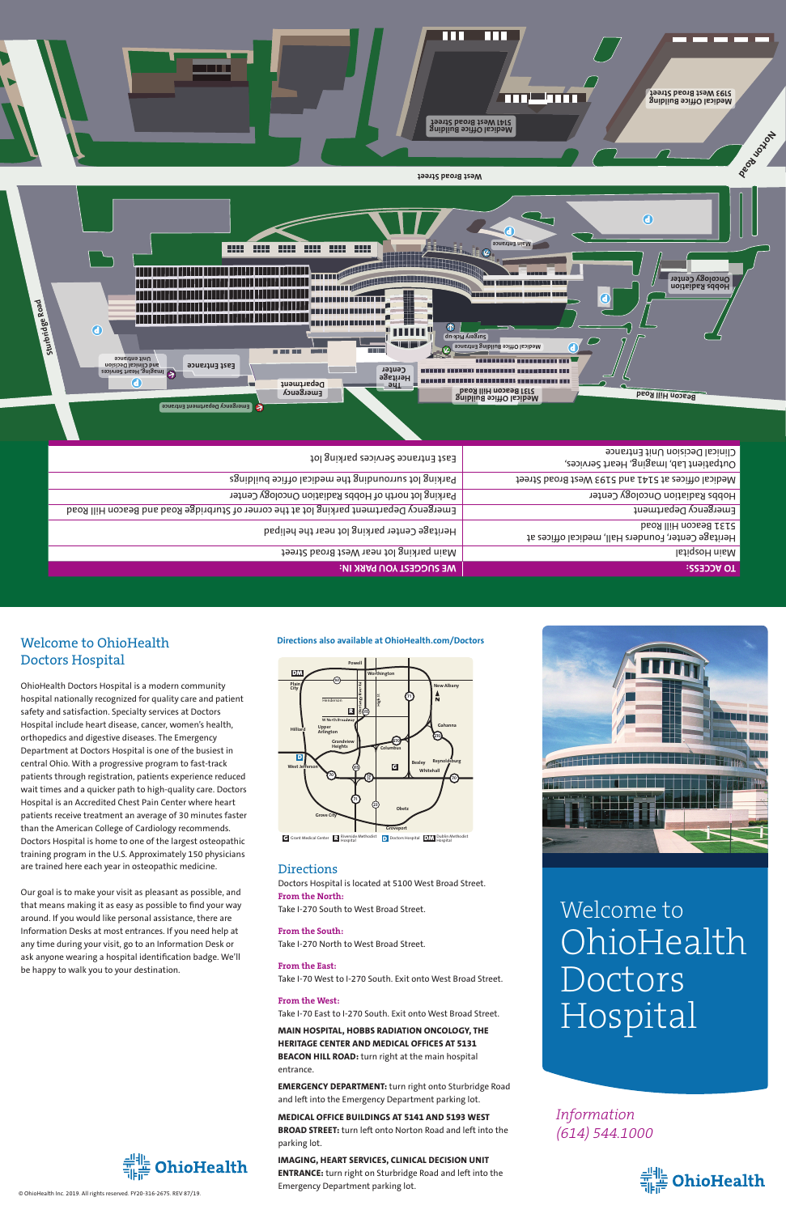*Information (614) 544.1000*



**Directions also available at OhioHealth.com/Doctors**

G Grant Medical Center **B** Riverside Methodist **D** Doctors Hospital **DM** Dublin N D Doctors Ho Hospital **DM** Publin M

Doctors Hospital is located at 5100 West Broad Street.

#### **From the North:**

Take I-270 South to West Broad Street.

#### **From the South:**

Take I-270 North to West Broad Street.

#### **From the East:**

Take I-70 West to I-270 South. Exit onto West Broad Street.

#### **From the West:**

Take I-70 East to I-270 South. Exit onto West Broad Street.

#### **MAIN HOSPITAL, HOBBS RADIATION ONCOLOGY, THE HERITAGE CENTER AND MEDICAL OFFICES AT 5131 BEACON HILL ROAD:** turn right at the main hospital entrance.

**EMERGENCY DEPARTMENT:** turn right onto Sturbridge Road and left into the Emergency Department parking lot.

## **MEDICAL OFFICE BUILDINGS AT 5141 AND 5193 WEST**

**BROAD STREET:** turn left onto Norton Road and left into the parking lot.

#### **IMAGING, HEART SERVICES, CLINICAL DECISION UNIT**

**ENTRANCE:** turn right on Sturbridge Road and left into the Emergency Department parking lot.

# Welcome to OhioHealth Doctors Hospital

OhioHealth Doctors Hospital is a modern community hospital nationally recognized for quality care and patient safety and satisfaction. Specialty services at Doctors Hospital include heart disease, cancer, women's health, orthopedics and digestive diseases. The Emergency Department at Doctors Hospital is one of the busiest in central Ohio. With a progressive program to fast-track patients through registration, patients experience reduced wait times and a quicker path to high-quality care. Doctors Hospital is an Accredited Chest Pain Center where heart patients receive treatment an average of 30 minutes faster than the American College of Cardiology recommends. Doctors Hospital is home to one of the largest osteopathic training program in the U.S. Approximately 150 physicians are trained here each year in osteopathic medicine.

<u>den version</u>

Our goal is to make your visit as pleasant as possible, and that means making it as easy as possible to find your way around. If you would like personal assistance, there are Information Desks at most entrances. If you need help at any time during your visit, go to an Information Desk or ask anyone wearing a hospital identification badge. We'll be happy to walk you to your destination.



**Groveport**

### **Directions**

G D **Powell Plain City Hilliard West Jefferson Reynoldsburg Gahanna New Alba Grove City Obetz** R Henderson **Bexley Whitehall Columbus Grandview Heights Upper Arlington Worthington** DM **<sup>70</sup> <sup>71</sup>** *x x <i>x x z z z* **71 71 315 315 23 670 270 161**

> Welcome to OhioHealth Doctors Hospital





| East Entrance Services parking lot                                                     |
|----------------------------------------------------------------------------------------|
| Parking lot surrounding the medical office buildings                                   |
| Parking lot north of Hobbs Radiation Oncology Center                                   |
| Emergency Department parking lot at the corner of Sturbridge Road and Beacon Hill Road |
| Heritage Center parking lot near the helipad                                           |
| Alain parking lot near West Broad Street                                               |
| <b>WE SUCCEST YOU PARK IN:</b>                                                         |
|                                                                                        |

© OhioHealth Inc. 2019. All rights reserved. FY20-316-2675. REV 87/19.